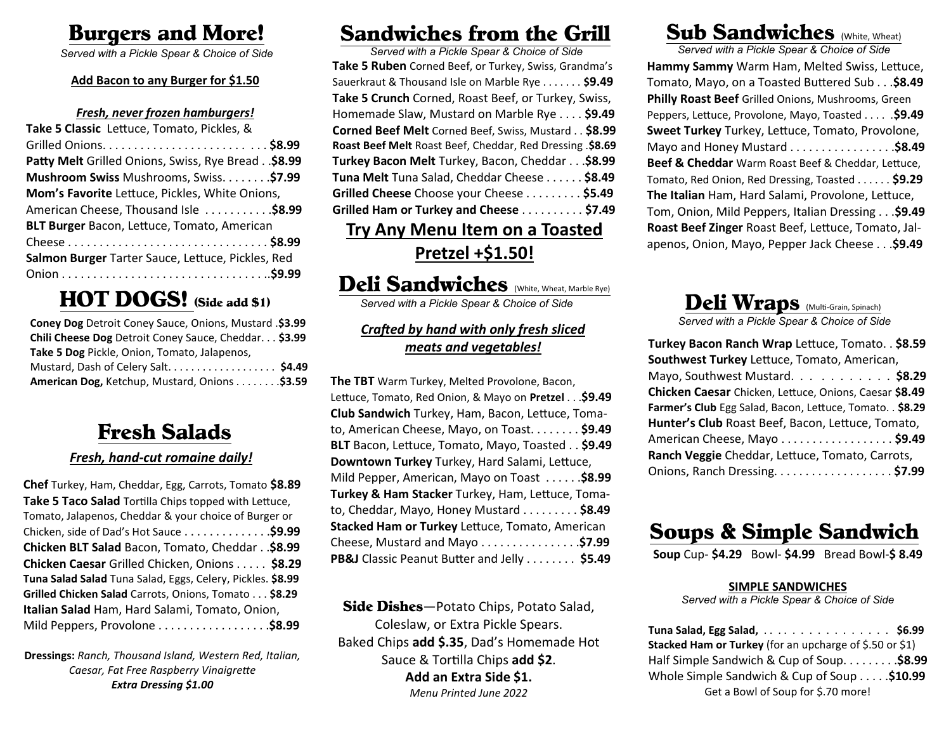# Burgers and More!

*Served with a Pickle Spear & Choice of Side*

#### **Add Bacon to any Burger for \$1.50**

#### *Fresh, never frozen hamburgers!*

| Take 5 Classic Lettuce, Tomato, Pickles, &            |
|-------------------------------------------------------|
|                                                       |
| Patty Melt Grilled Onions, Swiss, Rye Bread. . \$8.99 |
| Mushroom Swiss Mushrooms, Swiss\$7.99                 |
| Mom's Favorite Lettuce, Pickles, White Onions,        |
| American Cheese, Thousand Isle \$8.99                 |
| <b>BLT Burger Bacon, Lettuce, Tomato, American</b>    |
|                                                       |
| Salmon Burger Tarter Sauce, Lettuce, Pickles, Red     |
|                                                       |

## HOT DOGS! (Side add \$1)

| Coney Dog Detroit Coney Sauce, Onions, Mustard .\$3.99 |
|--------------------------------------------------------|
| Chili Cheese Dog Detroit Coney Sauce, Cheddar. \$3.99  |
| Take 5 Dog Pickle, Onion, Tomato, Jalapenos,           |
| Mustard, Dash of Celery Salt \$4.49                    |
| American Dog, Ketchup, Mustard, Onions \$3.59          |

## Fresh Salads

### *Fresh, hand-cut romaine daily!*

**Chef** Turkey, Ham, Cheddar, Egg, Carrots, Tomato **\$8.89 Take 5 Taco Salad** Tortilla Chips topped with Lettuce, Tomato, Jalapenos, Cheddar & your choice of Burger or Chicken, side of Dad's Hot Sauce . . . . . . . . . . . . . .**\$9.99 Chicken BLT Salad** Bacon, Tomato, Cheddar . .**\$8.99 Chicken Caesar** Grilled Chicken, Onions . . . . . **\$8.29 Tuna Salad Salad** Tuna Salad, Eggs, Celery, Pickles. **\$8.99 Grilled Chicken Salad** Carrots, Onions, Tomato . . . **\$8.29 Italian Salad** Ham, Hard Salami, Tomato, Onion, Mild Peppers, Provolone . . . . . . . . . . . . . . . . . .**\$8.99**

**Dressings:** *Ranch, Thousand Island, Western Red, Italian, Caesar, Fat Free Raspberry Vinaigrette Extra Dressing \$1.00*

# Sandwiches from the Grill

*Served with a Pickle Spear & Choice of Side* **Take 5 Ruben** Corned Beef, or Turkey, Swiss, Grandma's Sauerkraut & Thousand Isle on Marble Rye . . . . . . . **\$9.49 Take 5 Crunch** Corned, Roast Beef, or Turkey, Swiss, Homemade Slaw, Mustard on Marble Rye . . . . **\$9.49 Corned Beef Melt** Corned Beef, Swiss, Mustard . . **\$8.99 Roast Beef Melt** Roast Beef, Cheddar, Red Dressing .**\$8.69 Turkey Bacon Melt** Turkey, Bacon, Cheddar . . .**\$8.99 Tuna Melt** Tuna Salad, Cheddar Cheese . . . . . . **\$8.49 Grilled Cheese** Choose your Cheese . . . . . . . . . **\$5.49 Grilled Ham or Turkey and Cheese** . . . . . . . . . . **\$7.49**

### **Try Any Menu Item on a Toasted Pretzel +\$1.50!**

# Deli Sandwiches (White, Wheat, Marble Rye)

*Served with a Pickle Spear & Choice of Side*

### *Crafted by hand with only fresh sliced meats and vegetables!*

**The TBT** Warm Turkey, Melted Provolone, Bacon, Lettuce, Tomato, Red Onion, & Mayo on **Pretzel** . . .**\$9.49 Club Sandwich** Turkey, Ham, Bacon, Lettuce, Tomato, American Cheese, Mayo, on Toast. . . . . . . . **\$9.49 BLT** Bacon, Lettuce, Tomato, Mayo, Toasted . . **\$9.49 Downtown Turkey** Turkey, Hard Salami, Lettuce, Mild Pepper, American, Mayo on Toast . . . . . .**\$8.99 Turkey & Ham Stacker** Turkey, Ham, Lettuce, Tomato, Cheddar, Mayo, Honey Mustard . . . . . . . . . **\$8.49 Stacked Ham or Turkey** Lettuce, Tomato, American Cheese, Mustard and Mayo . . . . . . . . . . . . . . . .**\$7.99 PB&J** Classic Peanut Butter and Jelly . . . . . . . . **\$5.49**

Side Dishes-Potato Chips, Potato Salad, Coleslaw, or Extra Pickle Spears. Baked Chips **add \$.35**, Dad's Homemade Hot Sauce & Tortilla Chips **add \$2**. **Add an Extra Side \$1.** *Menu Printed June 2022*

## Sub Sandwiches (White, Wheat)

*Served with a Pickle Spear & Choice of Side* **Hammy Sammy** Warm Ham, Melted Swiss, Lettuce, Tomato, Mayo, on a Toasted Buttered Sub . . .**\$8.49 Philly Roast Beef** Grilled Onions, Mushrooms, Green Peppers, Lettuce, Provolone, Mayo, Toasted . . . . .**\$9.49 Sweet Turkey** Turkey, Lettuce, Tomato, Provolone, Mayo and Honey Mustard . . . . . . . . . . . . . . . . .**\$8.49 Beef & Cheddar** Warm Roast Beef & Cheddar, Lettuce, Tomato, Red Onion, Red Dressing, Toasted . . . . . . **\$9.29 The Italian** Ham, Hard Salami, Provolone, Lettuce, Tom, Onion, Mild Peppers, Italian Dressing . . .**\$9.49 Roast Beef Zinger** Roast Beef, Lettuce, Tomato, Jalapenos, Onion, Mayo, Pepper Jack Cheese . . .**\$9.49**



| Turkey Bacon Ranch Wrap Lettuce, Tomato. . \$8.59         |
|-----------------------------------------------------------|
| Southwest Turkey Lettuce, Tomato, American,               |
| Mayo, Southwest Mustard. \$8.29                           |
| Chicken Caesar Chicken, Lettuce, Onions, Caesar \$8.49    |
| Farmer's Club Egg Salad, Bacon, Lettuce, Tomato. . \$8.29 |
| Hunter's Club Roast Beef, Bacon, Lettuce, Tomato,         |
| American Cheese, Mayo \$9.49                              |
| Ranch Veggie Cheddar, Lettuce, Tomato, Carrots,           |
| Onions, Ranch Dressing. \$7.99                            |

## Soups & Simple Sandwich

**Soup** Cup- **\$4.29** Bowl- **\$4.99** Bread Bowl-**\$ 8.49**

### **SIMPLE SANDWICHES**

*Served with a Pickle Spear & Choice of Side*

**Tuna Salad, Egg Salad,** . . . . . . . . . . . . . . . . **\$6.99 Stacked Ham or Turkey** (for an upcharge of \$.50 or \$1) Half Simple Sandwich & Cup of Soup. . . . . . . . .**\$8.99** Whole Simple Sandwich & Cup of Soup . . . . .**\$10.99** Get a Bowl of Soup for \$.70 more!